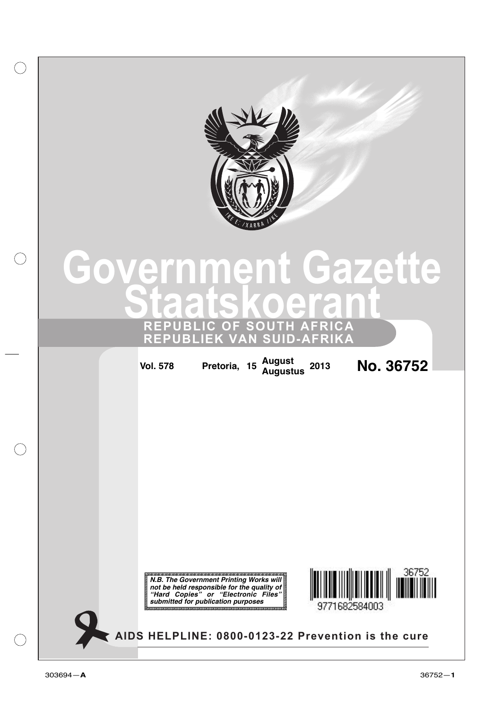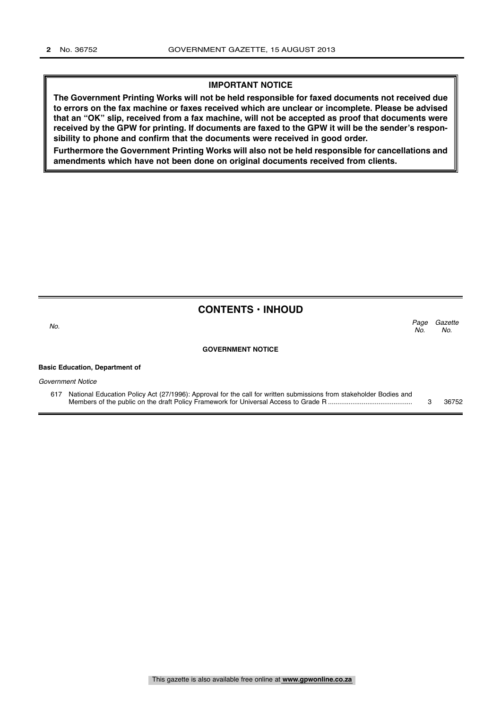### **IMPORTANT NOTICE**

**The Government Printing Works will not be held responsible for faxed documents not received due to errors on the fax machine or faxes received which are unclear or incomplete. Please be advised that an "OK" slip, received from a fax machine, will not be accepted as proof that documents were received by the GPW for printing. If documents are faxed to the GPW it will be the sender's responsibility to phone and confirm that the documents were received in good order.**

**Furthermore the Government Printing Works will also not be held responsible for cancellations and amendments which have not been done on original documents received from clients.**

### **CONTENTS • INHOUD**

**Gazette** No. Page<br>No. No.<br>No.

#### **GOVERNMENT NOTICE**

#### **Basic Education, Department of**

Government Notice

617 National Education Policy Act (27/1996): Approval for the call for written submissions from stakeholder Bodies and Members of the public on the draft Policy Framework for Universal Access to Grade R ............................................. 3 36752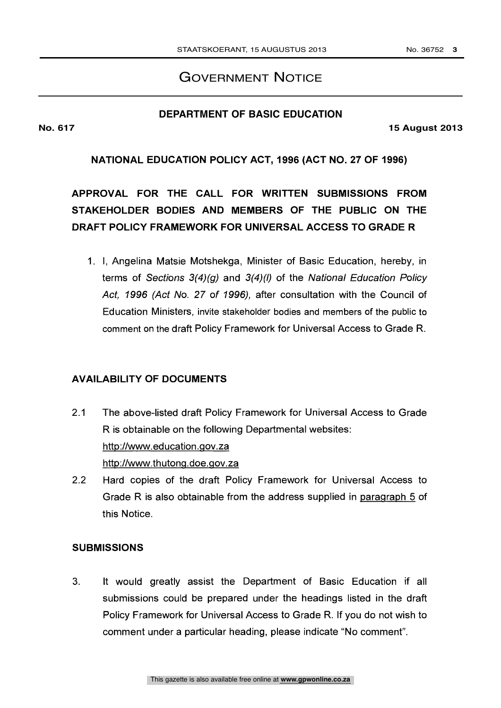## GOVERNMENT NOTICE

### **DEPARTMENT OF BASIC EDUCATION**

**No. 617 15 August 2013**

## NATIONAL EDUCATION POLICY ACT, 1996 (ACT NO. 27 OF 1996)

# APPROVAL FOR THE CALL FOR WRITTEN SUBMISSIONS FROM STAKEHOLDER BODIES AND MEMBERS OF THE PUBLIC ON THE DRAFT POLICY FRAMEWORK FOR UNIVERSAL ACCESS TO GRADE R

1. I, Angelina Matsie Motshekga, Minister of Basic Education, hereby, in terms of Sections  $3(4)(g)$  and  $3(4)(l)$  of the National Education Policy Act, 1996 (Act No. 27 of 1996), after consultation with the Council of Education Ministers, invite stakeholder bodies and members of the public to comment on the draft Policy Framework for Universal Access to Grade R.

### AVAILABILITY OF DOCUMENTS

- 2.1 The above-listed draft Policy Framework for Universal Access to Grade R is obtainable on the following Departmental websites: http://vvww.education.gov.za http://www.thutong.doe.gov.za
- 2.2 Hard copies of the draft Policy Framework for Universal Access to Grade R is also obtainable from the address supplied in paragraph 5 of this Notice.

### **SUBMISSIONS**

3. It would greatly assist the Department of Basic Education if all submissions could be prepared under the headings listed in the draft Policy Framework for Universal Access to Grade R. If you do not wish to comment under a particular heading, please indicate "No comment".